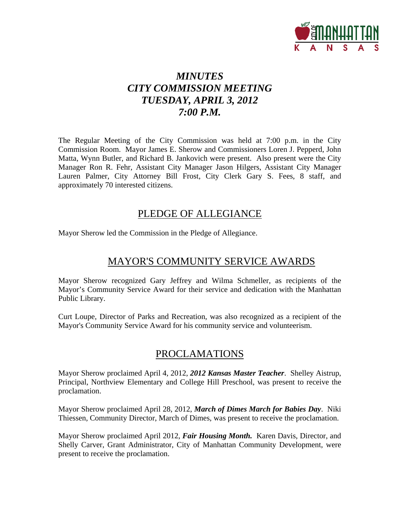

# *MINUTES CITY COMMISSION MEETING TUESDAY, APRIL 3, 2012 7:00 P.M.*

The Regular Meeting of the City Commission was held at 7:00 p.m. in the City Commission Room. Mayor James E. Sherow and Commissioners Loren J. Pepperd, John Matta, Wynn Butler, and Richard B. Jankovich were present. Also present were the City Manager Ron R. Fehr, Assistant City Manager Jason Hilgers, Assistant City Manager Lauren Palmer, City Attorney Bill Frost, City Clerk Gary S. Fees, 8 staff, and approximately 70 interested citizens.

## PLEDGE OF ALLEGIANCE

Mayor Sherow led the Commission in the Pledge of Allegiance.

# MAYOR'S COMMUNITY SERVICE AWARDS

Mayor Sherow recognized Gary Jeffrey and Wilma Schmeller, as recipients of the Mayor's Community Service Award for their service and dedication with the Manhattan Public Library.

Curt Loupe, Director of Parks and Recreation, was also recognized as a recipient of the Mayor's Community Service Award for his community service and volunteerism.

## PROCLAMATIONS

Mayor Sherow proclaimed April 4, 2012, *2012 Kansas Master Teacher*. Shelley Aistrup, Principal, Northview Elementary and College Hill Preschool, was present to receive the proclamation.

Mayor Sherow proclaimed April 28, 2012, *March of Dimes March for Babies Day*. Niki Thiessen, Community Director, March of Dimes, was present to receive the proclamation.

Mayor Sherow proclaimed April 2012, *Fair Housing Month.* Karen Davis, Director, and Shelly Carver, Grant Administrator, City of Manhattan Community Development, were present to receive the proclamation.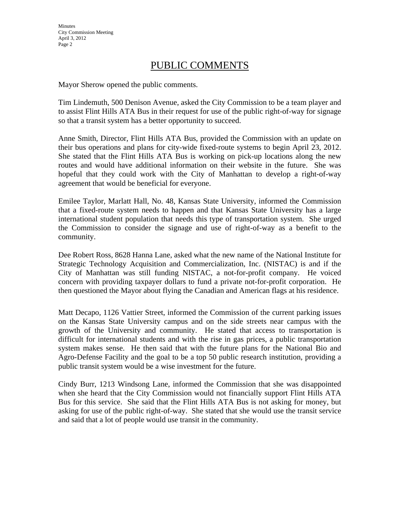**Minutes** City Commission Meeting April 3, 2012 Page 2

# PUBLIC COMMENTS

Mayor Sherow opened the public comments.

Tim Lindemuth, 500 Denison Avenue, asked the City Commission to be a team player and to assist Flint Hills ATA Bus in their request for use of the public right-of-way for signage so that a transit system has a better opportunity to succeed.

Anne Smith, Director, Flint Hills ATA Bus, provided the Commission with an update on their bus operations and plans for city-wide fixed-route systems to begin April 23, 2012. She stated that the Flint Hills ATA Bus is working on pick-up locations along the new routes and would have additional information on their website in the future. She was hopeful that they could work with the City of Manhattan to develop a right-of-way agreement that would be beneficial for everyone.

Emilee Taylor, Marlatt Hall, No. 48, Kansas State University, informed the Commission that a fixed-route system needs to happen and that Kansas State University has a large international student population that needs this type of transportation system. She urged the Commission to consider the signage and use of right-of-way as a benefit to the community.

Dee Robert Ross, 8628 Hanna Lane, asked what the new name of the National Institute for Strategic Technology Acquisition and Commercialization, Inc. (NISTAC) is and if the City of Manhattan was still funding NISTAC, a not-for-profit company. He voiced concern with providing taxpayer dollars to fund a private not-for-profit corporation. He then questioned the Mayor about flying the Canadian and American flags at his residence.

Matt Decapo, 1126 Vattier Street, informed the Commission of the current parking issues on the Kansas State University campus and on the side streets near campus with the growth of the University and community. He stated that access to transportation is difficult for international students and with the rise in gas prices, a public transportation system makes sense. He then said that with the future plans for the National Bio and Agro-Defense Facility and the goal to be a top 50 public research institution, providing a public transit system would be a wise investment for the future.

Cindy Burr, 1213 Windsong Lane, informed the Commission that she was disappointed when she heard that the City Commission would not financially support Flint Hills ATA Bus for this service. She said that the Flint Hills ATA Bus is not asking for money, but asking for use of the public right-of-way. She stated that she would use the transit service and said that a lot of people would use transit in the community.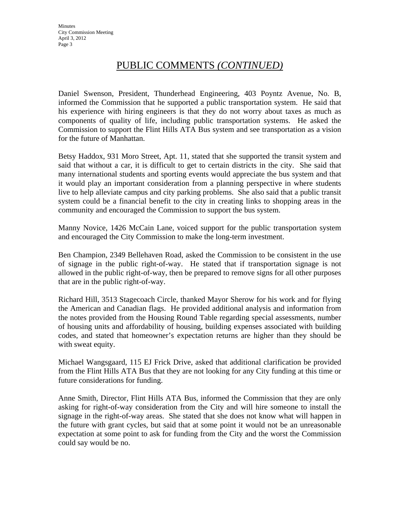# PUBLIC COMMENTS *(CONTINUED)*

Daniel Swenson, President, Thunderhead Engineering, 403 Poyntz Avenue, No. B, informed the Commission that he supported a public transportation system. He said that his experience with hiring engineers is that they do not worry about taxes as much as components of quality of life, including public transportation systems. He asked the Commission to support the Flint Hills ATA Bus system and see transportation as a vision for the future of Manhattan.

Betsy Haddox, 931 Moro Street, Apt. 11, stated that she supported the transit system and said that without a car, it is difficult to get to certain districts in the city. She said that many international students and sporting events would appreciate the bus system and that it would play an important consideration from a planning perspective in where students live to help alleviate campus and city parking problems. She also said that a public transit system could be a financial benefit to the city in creating links to shopping areas in the community and encouraged the Commission to support the bus system.

Manny Novice, 1426 McCain Lane, voiced support for the public transportation system and encouraged the City Commission to make the long-term investment.

Ben Champion, 2349 Bellehaven Road, asked the Commission to be consistent in the use of signage in the public right-of-way. He stated that if transportation signage is not allowed in the public right-of-way, then be prepared to remove signs for all other purposes that are in the public right-of-way.

Richard Hill, 3513 Stagecoach Circle, thanked Mayor Sherow for his work and for flying the American and Canadian flags. He provided additional analysis and information from the notes provided from the Housing Round Table regarding special assessments, number of housing units and affordability of housing, building expenses associated with building codes, and stated that homeowner's expectation returns are higher than they should be with sweat equity.

Michael Wangsgaard, 115 EJ Frick Drive, asked that additional clarification be provided from the Flint Hills ATA Bus that they are not looking for any City funding at this time or future considerations for funding.

Anne Smith, Director, Flint Hills ATA Bus, informed the Commission that they are only asking for right-of-way consideration from the City and will hire someone to install the signage in the right-of-way areas. She stated that she does not know what will happen in the future with grant cycles, but said that at some point it would not be an unreasonable expectation at some point to ask for funding from the City and the worst the Commission could say would be no.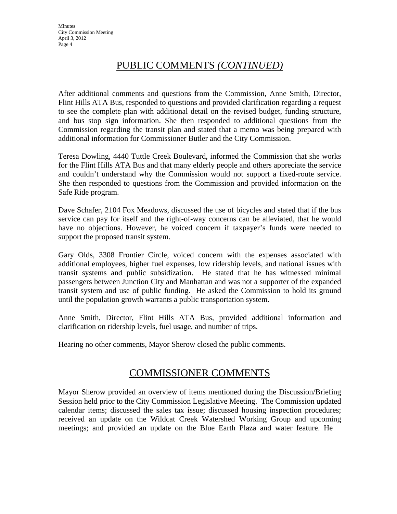# PUBLIC COMMENTS *(CONTINUED)*

After additional comments and questions from the Commission, Anne Smith, Director, Flint Hills ATA Bus, responded to questions and provided clarification regarding a request to see the complete plan with additional detail on the revised budget, funding structure, and bus stop sign information. She then responded to additional questions from the Commission regarding the transit plan and stated that a memo was being prepared with additional information for Commissioner Butler and the City Commission.

Teresa Dowling, 4440 Tuttle Creek Boulevard, informed the Commission that she works for the Flint Hills ATA Bus and that many elderly people and others appreciate the service and couldn't understand why the Commission would not support a fixed-route service. She then responded to questions from the Commission and provided information on the Safe Ride program.

Dave Schafer, 2104 Fox Meadows, discussed the use of bicycles and stated that if the bus service can pay for itself and the right-of-way concerns can be alleviated, that he would have no objections. However, he voiced concern if taxpayer's funds were needed to support the proposed transit system.

Gary Olds, 3308 Frontier Circle, voiced concern with the expenses associated with additional employees, higher fuel expenses, low ridership levels, and national issues with transit systems and public subsidization. He stated that he has witnessed minimal passengers between Junction City and Manhattan and was not a supporter of the expanded transit system and use of public funding. He asked the Commission to hold its ground until the population growth warrants a public transportation system.

Anne Smith, Director, Flint Hills ATA Bus, provided additional information and clarification on ridership levels, fuel usage, and number of trips.

Hearing no other comments, Mayor Sherow closed the public comments.

## COMMISSIONER COMMENTS

Mayor Sherow provided an overview of items mentioned during the Discussion/Briefing Session held prior to the City Commission Legislative Meeting. The Commission updated calendar items; discussed the sales tax issue; discussed housing inspection procedures; received an update on the Wildcat Creek Watershed Working Group and upcoming meetings; and provided an update on the Blue Earth Plaza and water feature. He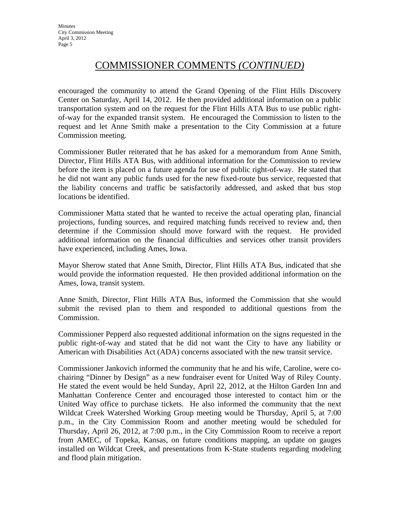# COMMISSIONER COMMENTS *(CONTINUED)*

encouraged the community to attend the Grand Opening of the Flint Hills Discovery Center on Saturday, April 14, 2012. He then provided additional information on a public transportation system and on the request for the Flint Hills ATA Bus to use public rightof-way for the expanded transit system. He encouraged the Commission to listen to the request and let Anne Smith make a presentation to the City Commission at a future Commission meeting.

Commissioner Butler reiterated that he has asked for a memorandum from Anne Smith, Director, Flint Hills ATA Bus, with additional information for the Commission to review before the item is placed on a future agenda for use of public right-of-way. He stated that he did not want any public funds used for the new fixed-route bus service, requested that the liability concerns and traffic be satisfactorily addressed, and asked that bus stop locations be identified.

Commissioner Matta stated that he wanted to receive the actual operating plan, financial projections, funding sources, and required matching funds received to review and, then determine if the Commission should move forward with the request. He provided additional information on the financial difficulties and services other transit providers have experienced, including Ames, Iowa.

Mayor Sherow stated that Anne Smith, Director, Flint Hills ATA Bus, indicated that she would provide the information requested. He then provided additional information on the Ames, Iowa, transit system.

Anne Smith, Director, Flint Hills ATA Bus, informed the Commission that she would submit the revised plan to them and responded to additional questions from the Commission.

Commissioner Pepperd also requested additional information on the signs requested in the public right-of-way and stated that he did not want the City to have any liability or American with Disabilities Act (ADA) concerns associated with the new transit service.

Commissioner Jankovich informed the community that he and his wife, Caroline, were cochairing "Dinner by Design" as a new fundraiser event for United Way of Riley County. He stated the event would be held Sunday, April 22, 2012, at the Hilton Garden Inn and Manhattan Conference Center and encouraged those interested to contact him or the United Way office to purchase tickets. He also informed the community that the next Wildcat Creek Watershed Working Group meeting would be Thursday, April 5, at 7:00 p.m., in the City Commission Room and another meeting would be scheduled for Thursday, April 26, 2012, at 7:00 p.m., in the City Commission Room to receive a report from AMEC, of Topeka, Kansas, on future conditions mapping, an update on gauges installed on Wildcat Creek, and presentations from K-State students regarding modeling and flood plain mitigation.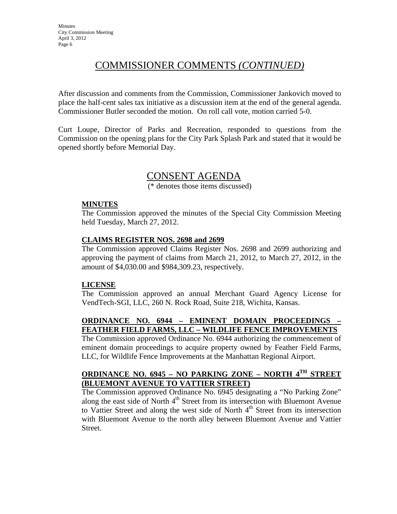# COMMISSIONER COMMENTS *(CONTINUED)*

After discussion and comments from the Commission, Commissioner Jankovich moved to place the half-cent sales tax initiative as a discussion item at the end of the general agenda. Commissioner Butler seconded the motion. On roll call vote, motion carried 5-0.

Curt Loupe, Director of Parks and Recreation, responded to questions from the Commission on the opening plans for the City Park Splash Park and stated that it would be opened shortly before Memorial Day.

### CONSENT AGENDA

(\* denotes those items discussed)

### **MINUTES**

The Commission approved the minutes of the Special City Commission Meeting held Tuesday, March 27, 2012.

### **CLAIMS REGISTER NOS. 2698 and 2699**

The Commission approved Claims Register Nos. 2698 and 2699 authorizing and approving the payment of claims from March 21, 2012, to March 27, 2012, in the amount of \$4,030.00 and \$984,309.23, respectively.

### **LICENSE**

The Commission approved an annual Merchant Guard Agency License for VendTech-SGI, LLC, 260 N. Rock Road, Suite 218, Wichita, Kansas.

### **ORDINANCE NO. 6944 – EMINENT DOMAIN PROCEEDINGS – FEATHER FIELD FARMS, LLC – WILDLIFE FENCE IMPROVEMENTS**

The Commission approved Ordinance No. 6944 authorizing the commencement of eminent domain proceedings to acquire property owned by Feather Field Farms, LLC, for Wildlife Fence Improvements at the Manhattan Regional Airport.

### **ORDINANCE NO. 6945 – NO PARKING ZONE – NORTH 4TH STREET (BLUEMONT AVENUE TO VATTIER STREET)**

The Commission approved Ordinance No. 6945 designating a "No Parking Zone" along the east side of North  $4<sup>th</sup>$  Street from its intersection with Bluemont Avenue to Vattier Street and along the west side of North  $4<sup>th</sup>$  Street from its intersection with Bluemont Avenue to the north alley between Bluemont Avenue and Vattier Street.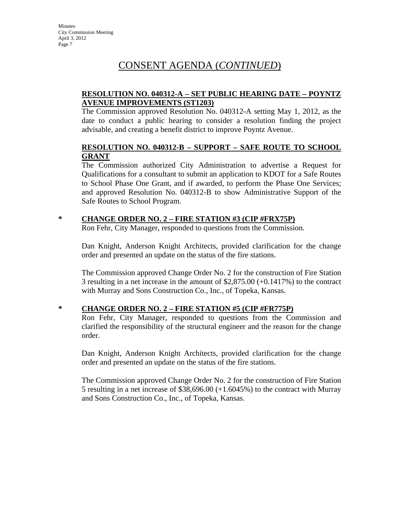# CONSENT AGENDA (*CONTINUED*)

### **RESOLUTION NO. 040312-A – SET PUBLIC HEARING DATE – POYNTZ AVENUE IMPROVEMENTS (ST1203)**

The Commission approved Resolution No. 040312-A setting May 1, 2012, as the date to conduct a public hearing to consider a resolution finding the project advisable, and creating a benefit district to improve Poyntz Avenue.

### **RESOLUTION NO. 040312-B – SUPPORT – SAFE ROUTE TO SCHOOL GRANT**

The Commission authorized City Administration to advertise a Request for Qualifications for a consultant to submit an application to KDOT for a Safe Routes to School Phase One Grant, and if awarded, to perform the Phase One Services; and approved Resolution No. 040312-B to show Administrative Support of the Safe Routes to School Program.

### **\* CHANGE ORDER NO. 2 – FIRE STATION #3 (CIP #FRX75P)**

Ron Fehr, City Manager, responded to questions from the Commission.

Dan Knight, Anderson Knight Architects, provided clarification for the change order and presented an update on the status of the fire stations.

The Commission approved Change Order No. 2 for the construction of Fire Station 3 resulting in a net increase in the amount of \$2,875.00 (+0.1417%) to the contract with Murray and Sons Construction Co., Inc., of Topeka, Kansas.

### **\* CHANGE ORDER NO. 2 – FIRE STATION #5 (CIP #FR775P)**

Ron Fehr, City Manager, responded to questions from the Commission and clarified the responsibility of the structural engineer and the reason for the change order.

Dan Knight, Anderson Knight Architects, provided clarification for the change order and presented an update on the status of the fire stations.

The Commission approved Change Order No. 2 for the construction of Fire Station 5 resulting in a net increase of \$38,696.00 (+1.6045%) to the contract with Murray and Sons Construction Co., Inc., of Topeka, Kansas.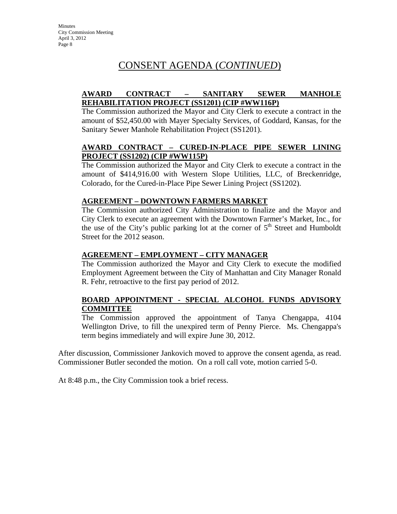# CONSENT AGENDA (*CONTINUED*)

### **AWARD CONTRACT – SANITARY SEWER MANHOLE REHABILITATION PROJECT (SS1201) (CIP #WW116P)**

The Commission authorized the Mayor and City Clerk to execute a contract in the amount of \$52,450.00 with Mayer Specialty Services, of Goddard, Kansas, for the Sanitary Sewer Manhole Rehabilitation Project (SS1201).

### **AWARD CONTRACT – CURED-IN-PLACE PIPE SEWER LINING PROJECT (SS1202) (CIP #WW115P)**

The Commission authorized the Mayor and City Clerk to execute a contract in the amount of \$414,916.00 with Western Slope Utilities, LLC, of Breckenridge, Colorado, for the Cured-in-Place Pipe Sewer Lining Project (SS1202).

### **AGREEMENT – DOWNTOWN FARMERS MARKET**

The Commission authorized City Administration to finalize and the Mayor and City Clerk to execute an agreement with the Downtown Farmer's Market, Inc., for the use of the City's public parking lot at the corner of  $5<sup>th</sup>$  Street and Humboldt Street for the 2012 season.

### **AGREEMENT – EMPLOYMENT – CITY MANAGER**

The Commission authorized the Mayor and City Clerk to execute the modified Employment Agreement between the City of Manhattan and City Manager Ronald R. Fehr, retroactive to the first pay period of 2012.

### **BOARD APPOINTMENT - SPECIAL ALCOHOL FUNDS ADVISORY COMMITTEE**

The Commission approved the appointment of Tanya Chengappa, 4104 Wellington Drive, to fill the unexpired term of Penny Pierce. Ms. Chengappa's term begins immediately and will expire June 30, 2012.

After discussion, Commissioner Jankovich moved to approve the consent agenda, as read. Commissioner Butler seconded the motion. On a roll call vote, motion carried 5-0.

At 8:48 p.m., the City Commission took a brief recess.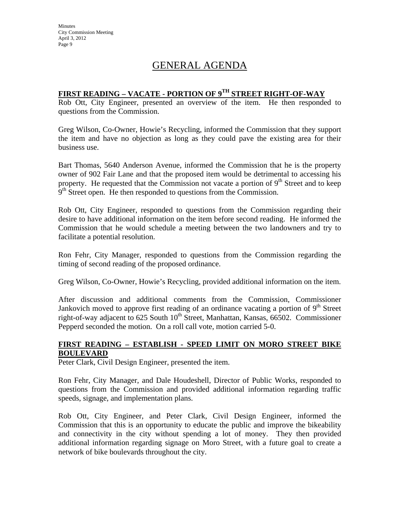**Minutes** City Commission Meeting April 3, 2012 Page 9

# GENERAL AGENDA

### **FIRST READING – VACATE - PORTION OF 9TH STREET RIGHT-OF-WAY**

Rob Ott, City Engineer, presented an overview of the item. He then responded to questions from the Commission.

Greg Wilson, Co-Owner, Howie's Recycling, informed the Commission that they support the item and have no objection as long as they could pave the existing area for their business use.

Bart Thomas, 5640 Anderson Avenue, informed the Commission that he is the property owner of 902 Fair Lane and that the proposed item would be detrimental to accessing his property. He requested that the Commission not vacate a portion of  $9<sup>th</sup>$  Street and to keep  $9<sup>th</sup>$  Street open. He then responded to questions from the Commission.

Rob Ott, City Engineer, responded to questions from the Commission regarding their desire to have additional information on the item before second reading. He informed the Commission that he would schedule a meeting between the two landowners and try to facilitate a potential resolution.

Ron Fehr, City Manager, responded to questions from the Commission regarding the timing of second reading of the proposed ordinance.

Greg Wilson, Co-Owner, Howie's Recycling, provided additional information on the item.

After discussion and additional comments from the Commission, Commissioner Jankovich moved to approve first reading of an ordinance vacating a portion of  $9<sup>th</sup>$  Street right-of-way adjacent to 625 South  $10^{th}$  Street, Manhattan, Kansas, 66502. Commissioner Pepperd seconded the motion. On a roll call vote, motion carried 5-0.

### **FIRST READING – ESTABLISH - SPEED LIMIT ON MORO STREET BIKE BOULEVARD**

Peter Clark, Civil Design Engineer, presented the item.

Ron Fehr, City Manager, and Dale Houdeshell, Director of Public Works, responded to questions from the Commission and provided additional information regarding traffic speeds, signage, and implementation plans.

Rob Ott, City Engineer, and Peter Clark, Civil Design Engineer, informed the Commission that this is an opportunity to educate the public and improve the bikeability and connectivity in the city without spending a lot of money. They then provided additional information regarding signage on Moro Street, with a future goal to create a network of bike boulevards throughout the city.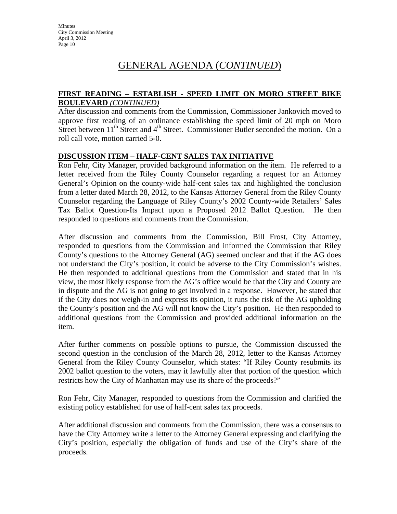# GENERAL AGENDA (*CONTINUED*)

#### **FIRST READING – ESTABLISH - SPEED LIMIT ON MORO STREET BIKE BOULEVARD** *(CONTINUED)*

After discussion and comments from the Commission, Commissioner Jankovich moved to approve first reading of an ordinance establishing the speed limit of 20 mph on Moro Street between  $11<sup>th</sup>$  Street and  $4<sup>th</sup>$  Street. Commissioner Butler seconded the motion. On a roll call vote, motion carried 5-0.

#### **DISCUSSION ITEM – HALF-CENT SALES TAX INITIATIVE**

Ron Fehr, City Manager, provided background information on the item. He referred to a letter received from the Riley County Counselor regarding a request for an Attorney General's Opinion on the county-wide half-cent sales tax and highlighted the conclusion from a letter dated March 28, 2012, to the Kansas Attorney General from the Riley County Counselor regarding the Language of Riley County's 2002 County-wide Retailers' Sales Tax Ballot Question-Its Impact upon a Proposed 2012 Ballot Question. He then responded to questions and comments from the Commission.

After discussion and comments from the Commission, Bill Frost, City Attorney, responded to questions from the Commission and informed the Commission that Riley County's questions to the Attorney General (AG) seemed unclear and that if the AG does not understand the City's position, it could be adverse to the City Commission's wishes. He then responded to additional questions from the Commission and stated that in his view, the most likely response from the AG's office would be that the City and County are in dispute and the AG is not going to get involved in a response. However, he stated that if the City does not weigh-in and express its opinion, it runs the risk of the AG upholding the County's position and the AG will not know the City's position. He then responded to additional questions from the Commission and provided additional information on the item.

After further comments on possible options to pursue, the Commission discussed the second question in the conclusion of the March 28, 2012, letter to the Kansas Attorney General from the Riley County Counselor, which states: "If Riley County resubmits its 2002 ballot question to the voters, may it lawfully alter that portion of the question which restricts how the City of Manhattan may use its share of the proceeds?"

Ron Fehr, City Manager, responded to questions from the Commission and clarified the existing policy established for use of half-cent sales tax proceeds.

After additional discussion and comments from the Commission, there was a consensus to have the City Attorney write a letter to the Attorney General expressing and clarifying the City's position, especially the obligation of funds and use of the City's share of the proceeds.